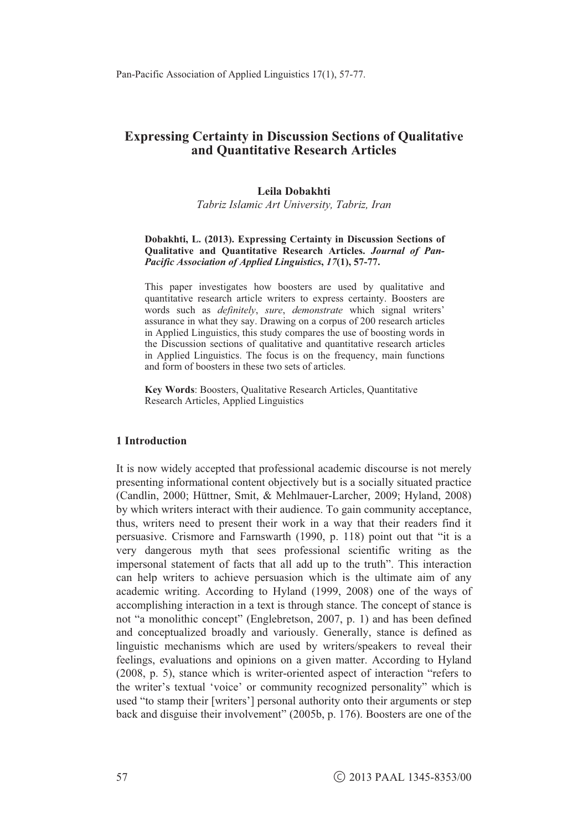# **Expressing Certainty in Discussion Sections of Qualitative and Quantitative Research Articles**

#### **Leila Dobakhti**

*Tabriz Islamic Art University, Tabriz, Iran* 

#### **Dobakhti, L. (2013). Expressing Certainty in Discussion Sections of Qualitative and Quantitative Research Articles.** *Journal of Pan-Pacific Association of Applied Linguistics***,** *17***(1), 57-77.**

This paper investigates how boosters are used by qualitative and quantitative research article writers to express certainty. Boosters are words such as *definitely*, *sure*, *demonstrate* which signal writers' assurance in what they say. Drawing on a corpus of 200 research articles in Applied Linguistics, this study compares the use of boosting words in the Discussion sections of qualitative and quantitative research articles in Applied Linguistics. The focus is on the frequency, main functions and form of boosters in these two sets of articles.

**Key Words**: Boosters, Qualitative Research Articles, Quantitative Research Articles, Applied Linguistics

#### **1 Introduction**

It is now widely accepted that professional academic discourse is not merely presenting informational content objectively but is a socially situated practice (Candlin, 2000; Hüttner, Smit, & Mehlmauer-Larcher, 2009; Hyland, 2008) by which writers interact with their audience. To gain community acceptance, thus, writers need to present their work in a way that their readers find it persuasive. Crismore and Farnswarth (1990, p. 118) point out that "it is a very dangerous myth that sees professional scientific writing as the impersonal statement of facts that all add up to the truth". This interaction can help writers to achieve persuasion which is the ultimate aim of any academic writing. According to Hyland (1999, 2008) one of the ways of accomplishing interaction in a text is through stance. The concept of stance is not "a monolithic concept" (Englebretson, 2007, p. 1) and has been defined and conceptualized broadly and variously. Generally, stance is defined as linguistic mechanisms which are used by writers/speakers to reveal their feelings, evaluations and opinions on a given matter. According to Hyland (2008, p. 5), stance which is writer-oriented aspect of interaction "refers to the writer's textual 'voice' or community recognized personality" which is used "to stamp their [writers'] personal authority onto their arguments or step back and disguise their involvement" (2005b, p. 176). Boosters are one of the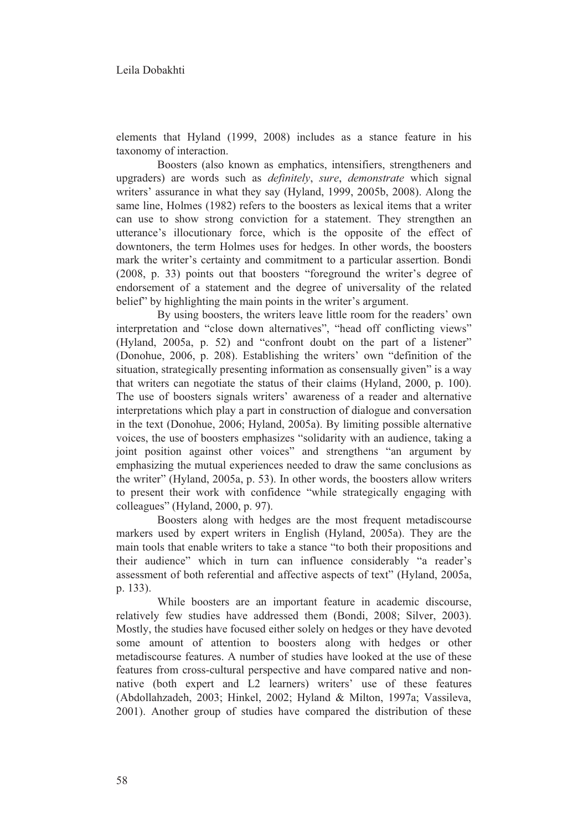elements that Hyland (1999, 2008) includes as a stance feature in his taxonomy of interaction.

Boosters (also known as emphatics, intensifiers, strengtheners and upgraders) are words such as *definitely*, *sure*, *demonstrate* which signal writers' assurance in what they say (Hyland, 1999, 2005b, 2008). Along the same line, Holmes (1982) refers to the boosters as lexical items that a writer can use to show strong conviction for a statement. They strengthen an utterance's illocutionary force, which is the opposite of the effect of downtoners, the term Holmes uses for hedges. In other words, the boosters mark the writer's certainty and commitment to a particular assertion. Bondi (2008, p. 33) points out that boosters "foreground the writer's degree of endorsement of a statement and the degree of universality of the related belief" by highlighting the main points in the writer's argument.

 By using boosters, the writers leave little room for the readers' own interpretation and "close down alternatives", "head off conflicting views" (Hyland, 2005a, p. 52) and "confront doubt on the part of a listener" (Donohue, 2006, p. 208). Establishing the writers' own "definition of the situation, strategically presenting information as consensually given" is a way that writers can negotiate the status of their claims (Hyland, 2000, p. 100). The use of boosters signals writers' awareness of a reader and alternative interpretations which play a part in construction of dialogue and conversation in the text (Donohue, 2006; Hyland, 2005a). By limiting possible alternative voices, the use of boosters emphasizes "solidarity with an audience, taking a joint position against other voices" and strengthens "an argument by emphasizing the mutual experiences needed to draw the same conclusions as the writer" (Hyland, 2005a, p. 53). In other words, the boosters allow writers to present their work with confidence "while strategically engaging with colleagues" (Hyland, 2000, p. 97).

 Boosters along with hedges are the most frequent metadiscourse markers used by expert writers in English (Hyland, 2005a). They are the main tools that enable writers to take a stance "to both their propositions and their audience" which in turn can influence considerably "a reader's assessment of both referential and affective aspects of text" (Hyland, 2005a, p. 133).

 While boosters are an important feature in academic discourse, relatively few studies have addressed them (Bondi, 2008; Silver, 2003). Mostly, the studies have focused either solely on hedges or they have devoted some amount of attention to boosters along with hedges or other metadiscourse features. A number of studies have looked at the use of these features from cross-cultural perspective and have compared native and nonnative (both expert and L2 learners) writers' use of these features (Abdollahzadeh, 2003; Hinkel, 2002; Hyland & Milton, 1997a; Vassileva, 2001). Another group of studies have compared the distribution of these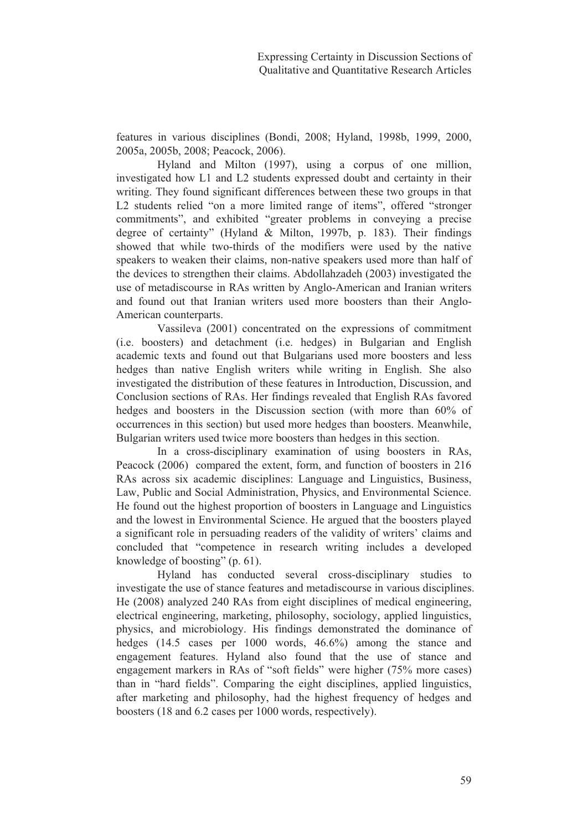features in various disciplines (Bondi, 2008; Hyland, 1998b, 1999, 2000, 2005a, 2005b, 2008; Peacock, 2006).

 Hyland and Milton (1997), using a corpus of one million, investigated how L1 and L2 students expressed doubt and certainty in their writing. They found significant differences between these two groups in that L2 students relied "on a more limited range of items", offered "stronger commitments", and exhibited "greater problems in conveying a precise degree of certainty" (Hyland & Milton, 1997b, p. 183). Their findings showed that while two-thirds of the modifiers were used by the native speakers to weaken their claims, non-native speakers used more than half of the devices to strengthen their claims. Abdollahzadeh (2003) investigated the use of metadiscourse in RAs written by Anglo-American and Iranian writers and found out that Iranian writers used more boosters than their Anglo-American counterparts.

Vassileva (2001) concentrated on the expressions of commitment (i.e. boosters) and detachment (i.e. hedges) in Bulgarian and English academic texts and found out that Bulgarians used more boosters and less hedges than native English writers while writing in English. She also investigated the distribution of these features in Introduction, Discussion, and Conclusion sections of RAs. Her findings revealed that English RAs favored hedges and boosters in the Discussion section (with more than 60% of occurrences in this section) but used more hedges than boosters. Meanwhile, Bulgarian writers used twice more boosters than hedges in this section.

 In a cross-disciplinary examination of using boosters in RAs, Peacock (2006) compared the extent, form, and function of boosters in 216 RAs across six academic disciplines: Language and Linguistics, Business, Law, Public and Social Administration, Physics, and Environmental Science. He found out the highest proportion of boosters in Language and Linguistics and the lowest in Environmental Science. He argued that the boosters played a significant role in persuading readers of the validity of writers' claims and concluded that "competence in research writing includes a developed knowledge of boosting" (p. 61).

 Hyland has conducted several cross-disciplinary studies to investigate the use of stance features and metadiscourse in various disciplines. He (2008) analyzed 240 RAs from eight disciplines of medical engineering, electrical engineering, marketing, philosophy, sociology, applied linguistics, physics, and microbiology. His findings demonstrated the dominance of hedges (14.5 cases per 1000 words, 46.6%) among the stance and engagement features. Hyland also found that the use of stance and engagement markers in RAs of "soft fields" were higher (75% more cases) than in "hard fields". Comparing the eight disciplines, applied linguistics, after marketing and philosophy, had the highest frequency of hedges and boosters (18 and 6.2 cases per 1000 words, respectively).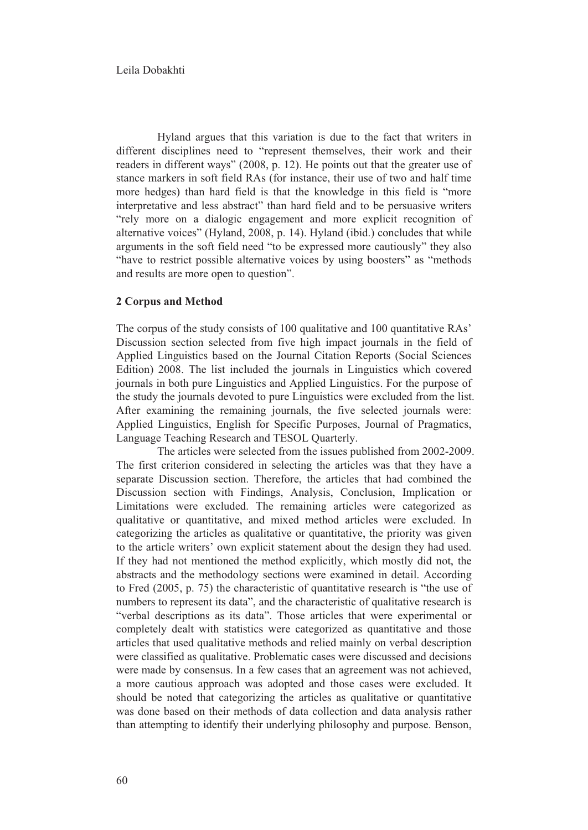Hyland argues that this variation is due to the fact that writers in different disciplines need to "represent themselves, their work and their readers in different ways" (2008, p. 12). He points out that the greater use of stance markers in soft field RAs (for instance, their use of two and half time more hedges) than hard field is that the knowledge in this field is "more interpretative and less abstract" than hard field and to be persuasive writers "rely more on a dialogic engagement and more explicit recognition of alternative voices" (Hyland, 2008, p. 14). Hyland (ibid.) concludes that while arguments in the soft field need "to be expressed more cautiously" they also "have to restrict possible alternative voices by using boosters" as "methods and results are more open to question".

### **2 Corpus and Method**

The corpus of the study consists of 100 qualitative and 100 quantitative RAs' Discussion section selected from five high impact journals in the field of Applied Linguistics based on the Journal Citation Reports (Social Sciences Edition) 2008. The list included the journals in Linguistics which covered journals in both pure Linguistics and Applied Linguistics. For the purpose of the study the journals devoted to pure Linguistics were excluded from the list. After examining the remaining journals, the five selected journals were: Applied Linguistics, English for Specific Purposes, Journal of Pragmatics, Language Teaching Research and TESOL Quarterly.

The articles were selected from the issues published from 2002-2009. The first criterion considered in selecting the articles was that they have a separate Discussion section. Therefore, the articles that had combined the Discussion section with Findings, Analysis, Conclusion, Implication or Limitations were excluded. The remaining articles were categorized as qualitative or quantitative, and mixed method articles were excluded. In categorizing the articles as qualitative or quantitative, the priority was given to the article writers' own explicit statement about the design they had used. If they had not mentioned the method explicitly, which mostly did not, the abstracts and the methodology sections were examined in detail. According to Fred (2005, p. 75) the characteristic of quantitative research is "the use of numbers to represent its data", and the characteristic of qualitative research is "verbal descriptions as its data". Those articles that were experimental or completely dealt with statistics were categorized as quantitative and those articles that used qualitative methods and relied mainly on verbal description were classified as qualitative. Problematic cases were discussed and decisions were made by consensus. In a few cases that an agreement was not achieved, a more cautious approach was adopted and those cases were excluded. It should be noted that categorizing the articles as qualitative or quantitative was done based on their methods of data collection and data analysis rather than attempting to identify their underlying philosophy and purpose. Benson,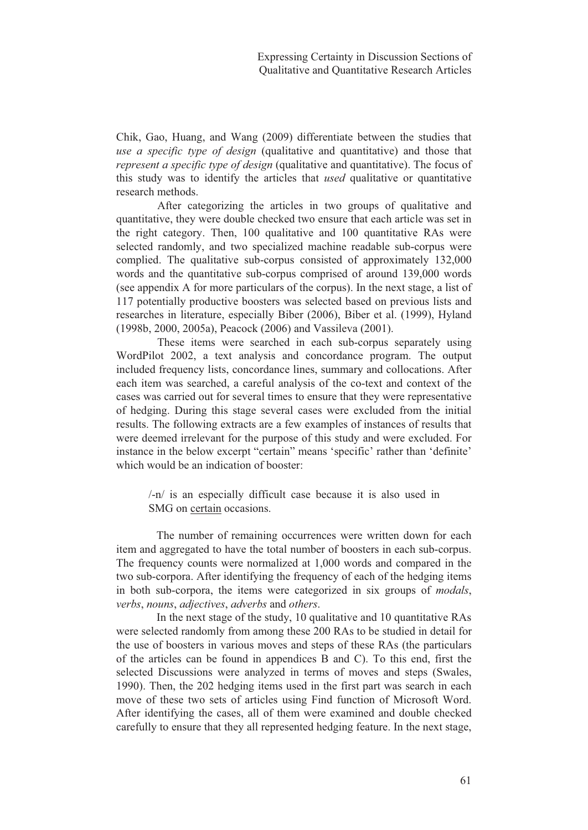Chik, Gao, Huang, and Wang (2009) differentiate between the studies that *use a specific type of design* (qualitative and quantitative) and those that *represent a specific type of design* (qualitative and quantitative). The focus of this study was to identify the articles that *used* qualitative or quantitative research methods.

After categorizing the articles in two groups of qualitative and quantitative, they were double checked two ensure that each article was set in the right category. Then, 100 qualitative and 100 quantitative RAs were selected randomly, and two specialized machine readable sub-corpus were complied. The qualitative sub-corpus consisted of approximately 132,000 words and the quantitative sub-corpus comprised of around 139,000 words (see appendix A for more particulars of the corpus). In the next stage, a list of 117 potentially productive boosters was selected based on previous lists and researches in literature, especially Biber (2006), Biber et al. (1999), Hyland (1998b, 2000, 2005a), Peacock (2006) and Vassileva (2001).

These items were searched in each sub-corpus separately using WordPilot 2002, a text analysis and concordance program. The output included frequency lists, concordance lines, summary and collocations. After each item was searched, a careful analysis of the co-text and context of the cases was carried out for several times to ensure that they were representative of hedging. During this stage several cases were excluded from the initial results. The following extracts are a few examples of instances of results that were deemed irrelevant for the purpose of this study and were excluded. For instance in the below excerpt "certain" means 'specific' rather than 'definite' which would be an indication of booster:

/-n/ is an especially difficult case because it is also used in SMG on certain occasions.

The number of remaining occurrences were written down for each item and aggregated to have the total number of boosters in each sub-corpus. The frequency counts were normalized at 1,000 words and compared in the two sub-corpora. After identifying the frequency of each of the hedging items in both sub-corpora, the items were categorized in six groups of *modals*, *verbs*, *nouns*, *adjectives*, *adverbs* and *others*.

In the next stage of the study, 10 qualitative and 10 quantitative RAs were selected randomly from among these 200 RAs to be studied in detail for the use of boosters in various moves and steps of these RAs (the particulars of the articles can be found in appendices B and C). To this end, first the selected Discussions were analyzed in terms of moves and steps (Swales, 1990). Then, the 202 hedging items used in the first part was search in each move of these two sets of articles using Find function of Microsoft Word. After identifying the cases, all of them were examined and double checked carefully to ensure that they all represented hedging feature. In the next stage,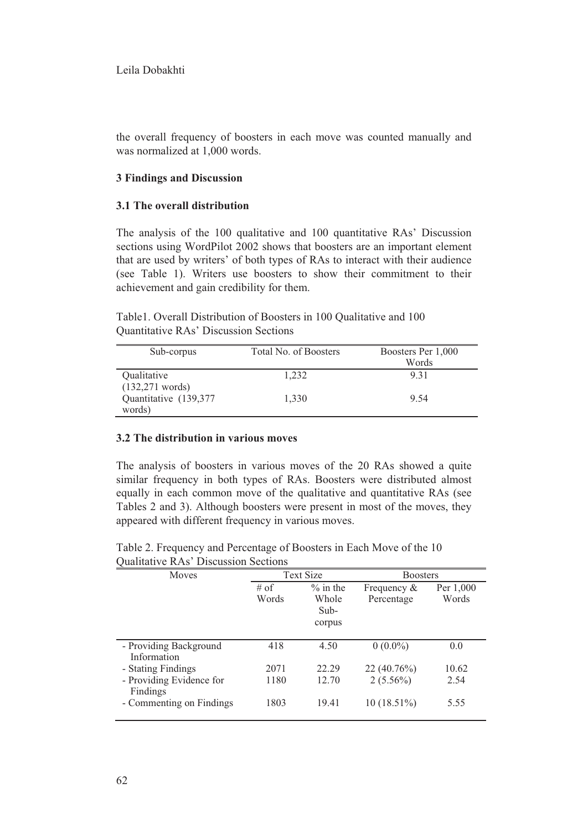the overall frequency of boosters in each move was counted manually and was normalized at 1,000 words.

# **3 Findings and Discussion**

## **3.1 The overall distribution**

The analysis of the 100 qualitative and 100 quantitative RAs' Discussion sections using WordPilot 2002 shows that boosters are an important element that are used by writers' of both types of RAs to interact with their audience (see Table 1). Writers use boosters to show their commitment to their achievement and gain credibility for them.

Table1. Overall Distribution of Boosters in 100 Qualitative and 100 Quantitative RAs' Discussion Sections

| Sub-corpus                        | Total No. of Boosters | Boosters Per 1,000<br>Words |
|-----------------------------------|-----------------------|-----------------------------|
| Qualitative<br>$(132, 271$ words) | 1.232                 | 9.31                        |
| Quantitative (139,377<br>words)   | 1.330                 | 9.54                        |

## **3.2 The distribution in various moves**

The analysis of boosters in various moves of the 20 RAs showed a quite similar frequency in both types of RAs. Boosters were distributed almost equally in each common move of the qualitative and quantitative RAs (see Tables 2 and 3). Although boosters were present in most of the moves, they appeared with different frequency in various moves.

|  | Table 2. Frequency and Percentage of Boosters in Each Move of the 10 |  |  |  |
|--|----------------------------------------------------------------------|--|--|--|
|  | Qualitative RAs' Discussion Sections                                 |  |  |  |

| Moves                    | <b>Text Size</b> |             | <b>Boosters</b> |           |
|--------------------------|------------------|-------------|-----------------|-----------|
|                          | $#$ of           | $\%$ in the | Frequency $&$   | Per 1,000 |
|                          | Words            | Whole       | Percentage      | Words     |
|                          |                  | $Sub-$      |                 |           |
|                          |                  | corpus      |                 |           |
|                          |                  |             |                 |           |
| - Providing Background   | 418              | 4.50        | $0(0.0\%)$      | 0.0       |
| Information              |                  |             |                 |           |
| - Stating Findings       | 2071             | 22.29       | $22(40.76\%)$   | 10.62     |
| - Providing Evidence for | 1180             | 12.70       | $2(5.56\%)$     | 2.54      |
| Findings                 |                  |             |                 |           |
| - Commenting on Findings | 1803             | 19.41       | $10(18.51\%)$   | 5.55      |
|                          |                  |             |                 |           |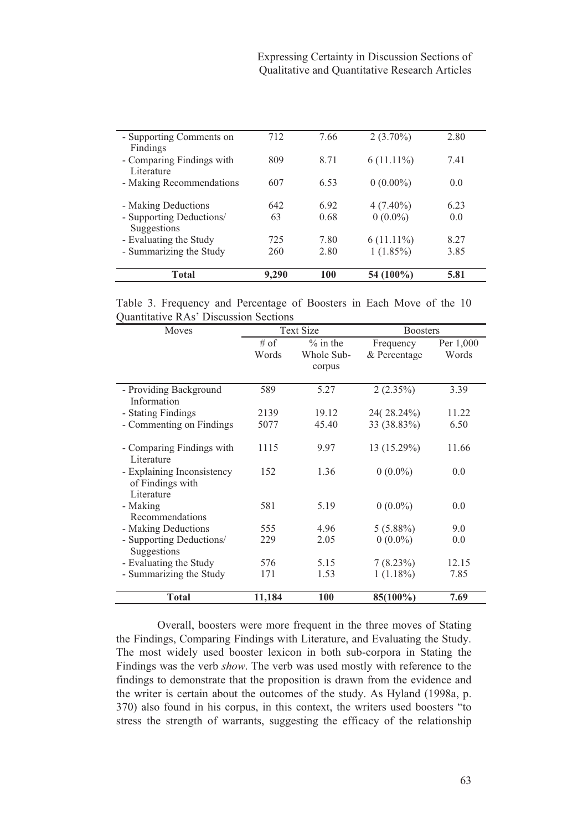| - Supporting Comments on<br>Findings    | 712   | 7.66 | $2(3.70\%)$  | 2.80 |
|-----------------------------------------|-------|------|--------------|------|
| - Comparing Findings with<br>Literature | 809   | 8.71 | $6(11.11\%)$ | 7.41 |
| - Making Recommendations                | 607   | 6.53 | $0(0.00\%)$  | 0.0  |
| - Making Deductions                     | 642   | 6.92 | $4(7.40\%)$  | 6.23 |
| - Supporting Deductions/<br>Suggestions | 63    | 0.68 | $0(0.0\%)$   | 0.0  |
| - Evaluating the Study                  | 725   | 7.80 | $6(11.11\%)$ | 8.27 |
| - Summarizing the Study                 | 260   | 2.80 | $1(1.85\%)$  | 3.85 |
| Total                                   | 9,290 | 100  | 54 (100%)    | 5.81 |

Table 3. Frequency and Percentage of Boosters in Each Move of the 10 Quantitative RAs' Discussion Sections

| Moves                      | <b>Text Size</b> |             | <b>Boosters</b> |           |
|----------------------------|------------------|-------------|-----------------|-----------|
|                            | $#$ of           | $\%$ in the | Frequency       | Per 1,000 |
|                            | Words            | Whole Sub-  | & Percentage    | Words     |
|                            |                  | corpus      |                 |           |
|                            |                  |             |                 |           |
| - Providing Background     | 589              | 5.27        | $2(2.35\%)$     | 3.39      |
| Information                |                  |             |                 |           |
| - Stating Findings         | 2139             | 19.12       | 24(28.24%)      | 11.22     |
| - Commenting on Findings   | 5077             | 45.40       | 33 (38.83%)     | 6.50      |
|                            |                  |             |                 |           |
| - Comparing Findings with  | 1115             | 9.97        | 13 (15.29%)     | 11.66     |
| Literature                 |                  |             |                 |           |
| - Explaining Inconsistency | 152              | 1.36        | $0(0.0\%)$      | 0.0       |
| of Findings with           |                  |             |                 |           |
| Literature                 |                  |             |                 |           |
| - Making                   | 581              | 5.19        | $0(0.0\%)$      | 0.0       |
| Recommendations            |                  |             |                 |           |
| - Making Deductions        | 555              | 4.96        | $5(5.88\%)$     | 9.0       |
| - Supporting Deductions/   | 229              | 2.05        | $0(0.0\%)$      | 0.0       |
| Suggestions                |                  |             |                 |           |
| - Evaluating the Study     | 576              | 5.15        | 7(8.23%)        | 12.15     |
| - Summarizing the Study    | 171              | 1.53        | $1(1.18\%)$     | 7.85      |
|                            |                  |             |                 |           |
| <b>Total</b>               | 11,184           | 100         | 85(100%)        | 7.69      |

Overall, boosters were more frequent in the three moves of Stating the Findings, Comparing Findings with Literature, and Evaluating the Study. The most widely used booster lexicon in both sub-corpora in Stating the Findings was the verb *show*. The verb was used mostly with reference to the findings to demonstrate that the proposition is drawn from the evidence and the writer is certain about the outcomes of the study. As Hyland (1998a, p. 370) also found in his corpus, in this context, the writers used boosters "to stress the strength of warrants, suggesting the efficacy of the relationship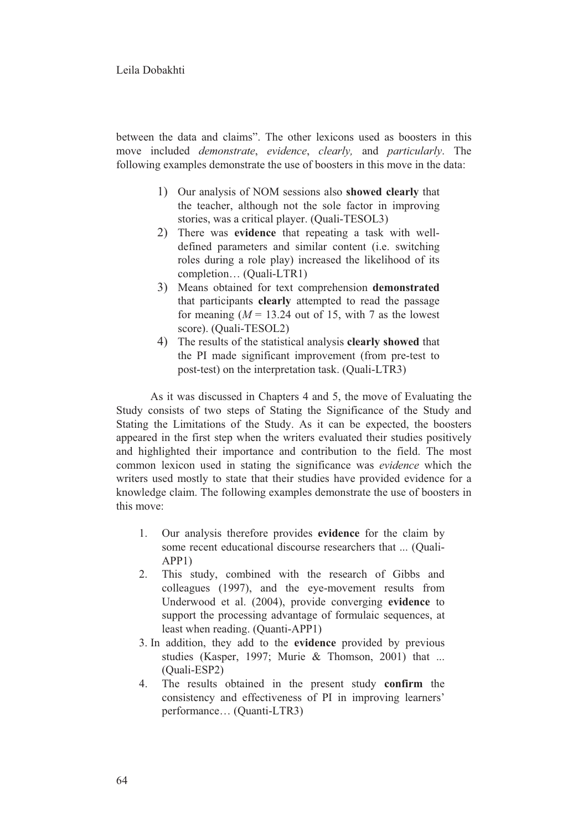### Leila Dobakhti

between the data and claims". The other lexicons used as boosters in this move included *demonstrate*, *evidence*, *clearly,* and *particularly*. The following examples demonstrate the use of boosters in this move in the data:

- 1) Our analysis of NOM sessions also **showed clearly** that the teacher, although not the sole factor in improving stories, was a critical player. (Quali-TESOL3)
- 2) There was **evidence** that repeating a task with welldefined parameters and similar content (i.e. switching roles during a role play) increased the likelihood of its completion… (Quali-LTR1)
- 3) Means obtained for text comprehension **demonstrated** that participants **clearly** attempted to read the passage for meaning  $(M = 13.24$  out of 15, with 7 as the lowest score). (Quali-TESOL2)
- 4) The results of the statistical analysis **clearly showed** that the PI made significant improvement (from pre-test to post-test) on the interpretation task. (Quali-LTR3)

As it was discussed in Chapters 4 and 5, the move of Evaluating the Study consists of two steps of Stating the Significance of the Study and Stating the Limitations of the Study. As it can be expected, the boosters appeared in the first step when the writers evaluated their studies positively and highlighted their importance and contribution to the field. The most common lexicon used in stating the significance was *evidence* which the writers used mostly to state that their studies have provided evidence for a knowledge claim. The following examples demonstrate the use of boosters in this move:

- 1. Our analysis therefore provides **evidence** for the claim by some recent educational discourse researchers that ... (Quali-APP1)
- 2. This study, combined with the research of Gibbs and colleagues (1997), and the eye-movement results from Underwood et al. (2004), provide converging **evidence** to support the processing advantage of formulaic sequences, at least when reading. (Quanti-APP1)
- 3. In addition, they add to the **evidence** provided by previous studies (Kasper, 1997; Murie & Thomson, 2001) that ... (Quali-ESP2)
- 4. The results obtained in the present study **confirm** the consistency and effectiveness of PI in improving learners' performance… (Quanti-LTR3)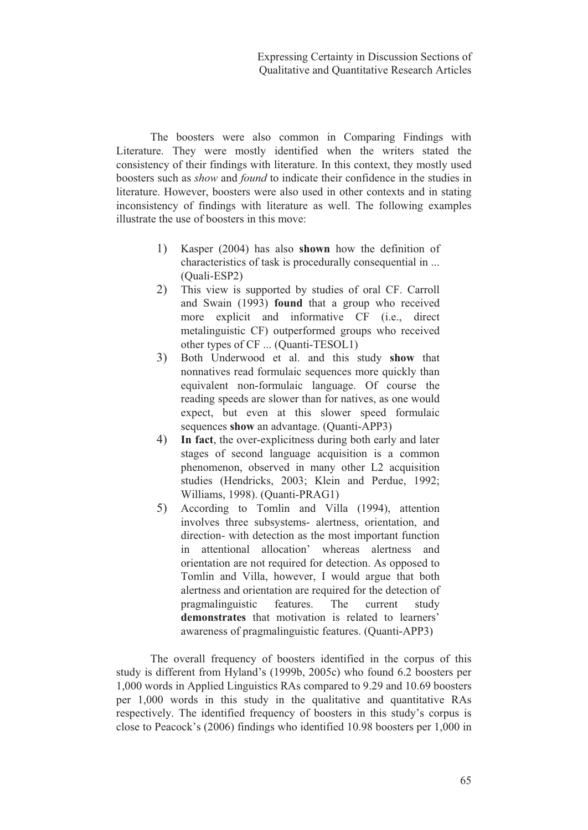The boosters were also common in Comparing Findings with Literature. They were mostly identified when the writers stated the consistency of their findings with literature. In this context, they mostly used boosters such as *show* and *found* to indicate their confidence in the studies in literature. However, boosters were also used in other contexts and in stating inconsistency of findings with literature as well. The following examples illustrate the use of boosters in this move:

- 1) Kasper (2004) has also **shown** how the definition of characteristics of task is procedurally consequential in ... (Quali-ESP2)
- 2) This view is supported by studies of oral CF. Carroll and Swain (1993) **found** that a group who received more explicit and informative CF (i.e., direct metalinguistic CF) outperformed groups who received other types of CF ... (Quanti-TESOL1)
- 3) Both Underwood et al. and this study **show** that nonnatives read formulaic sequences more quickly than equivalent non-formulaic language. Of course the reading speeds are slower than for natives, as one would expect, but even at this slower speed formulaic sequences **show** an advantage. (Quanti-APP3)
- 4) **In fact**, the over-explicitness during both early and later stages of second language acquisition is a common phenomenon, observed in many other L2 acquisition studies (Hendricks, 2003; Klein and Perdue, 1992; Williams, 1998). (Quanti-PRAG1)
- 5) According to Tomlin and Villa (1994), attention involves three subsystems- alertness, orientation, and direction- with detection as the most important function in attentional allocation' whereas alertness and orientation are not required for detection. As opposed to Tomlin and Villa, however, I would argue that both alertness and orientation are required for the detection of pragmalinguistic features. The current study **demonstrates** that motivation is related to learners' awareness of pragmalinguistic features. (Quanti-APP3)

The overall frequency of boosters identified in the corpus of this study is different from Hyland's (1999b, 2005c) who found 6.2 boosters per 1,000 words in Applied Linguistics RAs compared to 9.29 and 10.69 boosters per 1,000 words in this study in the qualitative and quantitative RAs respectively. The identified frequency of boosters in this study's corpus is close to Peacock's (2006) findings who identified 10.98 boosters per 1,000 in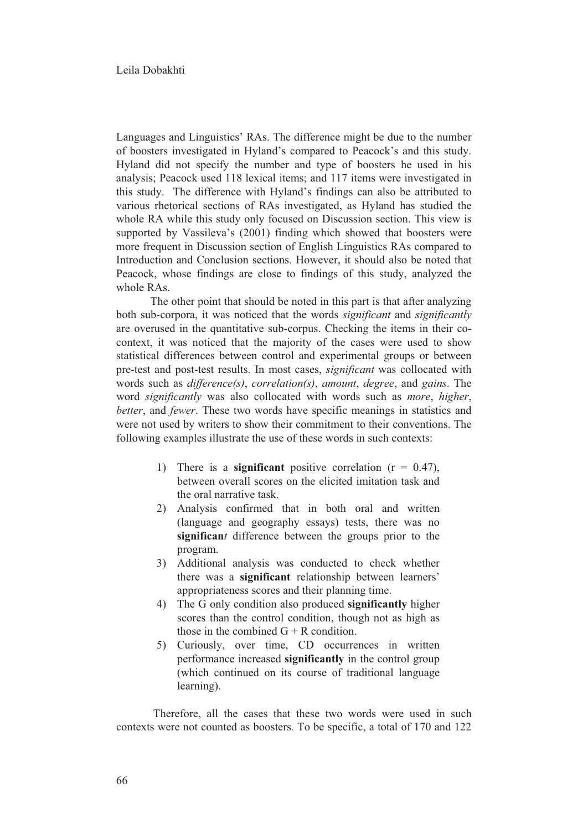Languages and Linguistics' RAs. The difference might be due to the number of boosters investigated in Hyland's compared to Peacock's and this study. Hyland did not specify the number and type of boosters he used in his analysis; Peacock used 118 lexical items; and 117 items were investigated in this study. The difference with Hyland's findings can also be attributed to various rhetorical sections of RAs investigated, as Hyland has studied the whole RA while this study only focused on Discussion section. This view is supported by Vassileva's (2001) finding which showed that boosters were more frequent in Discussion section of English Linguistics RAs compared to Introduction and Conclusion sections. However, it should also be noted that Peacock, whose findings are close to findings of this study, analyzed the whole RAs.

The other point that should be noted in this part is that after analyzing both sub-corpora, it was noticed that the words *significant* and *significantly* are overused in the quantitative sub-corpus. Checking the items in their cocontext, it was noticed that the majority of the cases were used to show statistical differences between control and experimental groups or between pre-test and post-test results. In most cases, *significant* was collocated with words such as *difference(s)*, *correlation(s)*, *amount*, *degree*, and *gains*. The word *significantly* was also collocated with words such as *more*, *higher*, *better*, and *fewer*. These two words have specific meanings in statistics and were not used by writers to show their commitment to their conventions. The following examples illustrate the use of these words in such contexts:

- 1) There is a **significant** positive correlation (r = 0.47), between overall scores on the elicited imitation task and the oral narrative task.
- 2) Analysis confirmed that in both oral and written (language and geography essays) tests, there was no **significan***t* difference between the groups prior to the program.
- 3) Additional analysis was conducted to check whether there was a **significant** relationship between learners' appropriateness scores and their planning time.
- 4) The G only condition also produced **significantly** higher scores than the control condition, though not as high as those in the combined  $G + R$  condition.
- 5) Curiously, over time, CD occurrences in written performance increased **significantly** in the control group (which continued on its course of traditional language learning).

 Therefore, all the cases that these two words were used in such contexts were not counted as boosters. To be specific, a total of 170 and 122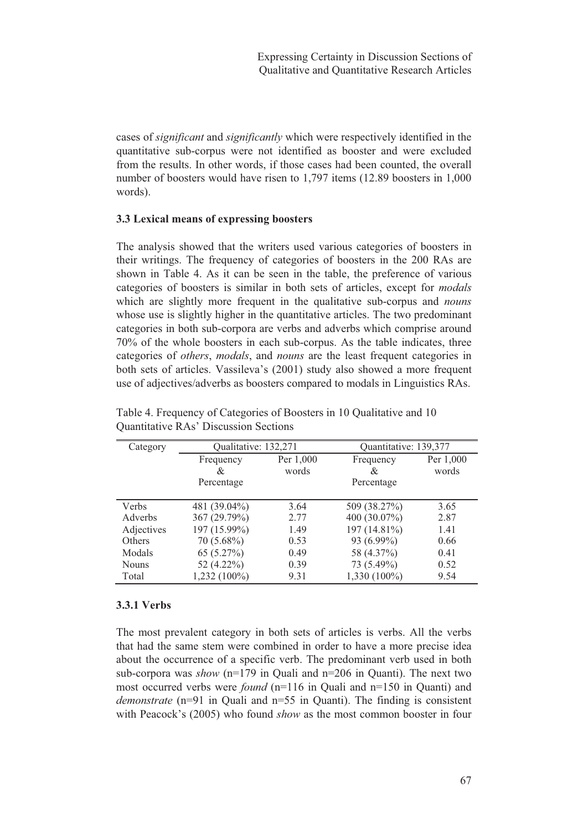cases of *significant* and *significantly* which were respectively identified in the quantitative sub-corpus were not identified as booster and were excluded from the results. In other words, if those cases had been counted, the overall number of boosters would have risen to 1,797 items (12.89 boosters in 1,000 words).

# **3.3 Lexical means of expressing boosters**

The analysis showed that the writers used various categories of boosters in their writings. The frequency of categories of boosters in the 200 RAs are shown in Table 4. As it can be seen in the table, the preference of various categories of boosters is similar in both sets of articles, except for *modals* which are slightly more frequent in the qualitative sub-corpus and *nouns* whose use is slightly higher in the quantitative articles. The two predominant categories in both sub-corpora are verbs and adverbs which comprise around 70% of the whole boosters in each sub-corpus. As the table indicates, three categories of *others*, *modals*, and *nouns* are the least frequent categories in both sets of articles. Vassileva's (2001) study also showed a more frequent use of adjectives/adverbs as boosters compared to modals in Linguistics RAs.

| Category     | Qualitative: 132,271 |           | Quantitative: 139,377 |           |
|--------------|----------------------|-----------|-----------------------|-----------|
|              | Frequency            | Per 1,000 | Frequency             | Per 1,000 |
|              | &                    | words     | &                     | words     |
|              | Percentage           |           | Percentage            |           |
| Verbs        | 481 (39.04%)         | 3.64      | 509 (38.27%)          | 3.65      |
| Adverbs      | 367 (29.79%)         | 2.77      | 400 $(30.07\%)$       | 2.87      |
| Adjectives   | 197 (15.99%)         | 1.49      | 197 (14.81%)          | 1.41      |
| Others       | $70(5.68\%)$         | 0.53      | 93 (6.99%)            | 0.66      |
| Modals       | 65(5.27%)            | 0.49      | 58 (4.37%)            | 0.41      |
| <b>Nouns</b> | 52 (4.22%)           | 0.39      | 73 (5.49%)            | 0.52      |
| Total        | $1,232(100\%)$       | 9.31      | $1,330(100\%)$        | 9.54      |

Table 4. Frequency of Categories of Boosters in 10 Qualitative and 10 Quantitative RAs' Discussion Sections

# **3.3.1 Verbs**

The most prevalent category in both sets of articles is verbs. All the verbs that had the same stem were combined in order to have a more precise idea about the occurrence of a specific verb. The predominant verb used in both sub-corpora was *show* (n=179 in Quali and n=206 in Quanti). The next two most occurred verbs were *found* (n=116 in Quali and n=150 in Quanti) and *demonstrate* (n=91 in Quali and n=55 in Quanti). The finding is consistent with Peacock's (2005) who found *show* as the most common booster in four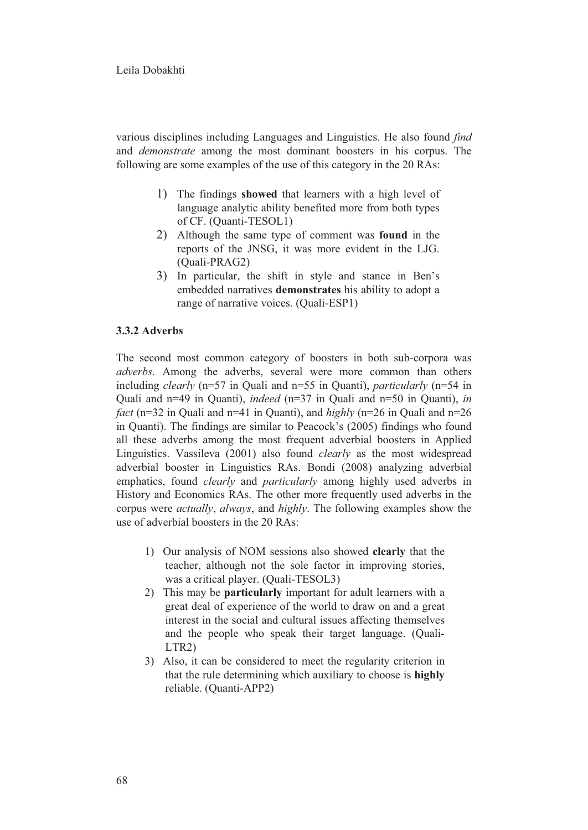## Leila Dobakhti

various disciplines including Languages and Linguistics. He also found *find* and *demonstrate* among the most dominant boosters in his corpus. The following are some examples of the use of this category in the 20 RAs:

- 1) The findings **showed** that learners with a high level of language analytic ability benefited more from both types of CF. (Quanti-TESOL1)
- 2) Although the same type of comment was **found** in the reports of the JNSG, it was more evident in the LJG. (Quali-PRAG2)
- 3) In particular, the shift in style and stance in Ben's embedded narratives **demonstrates** his ability to adopt a range of narrative voices. (Quali-ESP1)

# **3.3.2 Adverbs**

The second most common category of boosters in both sub-corpora was *adverbs*. Among the adverbs, several were more common than others including *clearly* (n=57 in Quali and n=55 in Quanti), *particularly* (n=54 in Quali and n=49 in Quanti), *indeed* (n=37 in Quali and n=50 in Quanti), *in fact* (n=32 in Quali and n=41 in Quanti), and *highly* (n=26 in Quali and n=26 in Quanti). The findings are similar to Peacock's (2005) findings who found all these adverbs among the most frequent adverbial boosters in Applied Linguistics. Vassileva (2001) also found *clearly* as the most widespread adverbial booster in Linguistics RAs. Bondi (2008) analyzing adverbial emphatics, found *clearly* and *particularly* among highly used adverbs in History and Economics RAs. The other more frequently used adverbs in the corpus were *actually*, *always*, and *highly*. The following examples show the use of adverbial boosters in the 20 RAs:

- 1) Our analysis of NOM sessions also showed **clearly** that the teacher, although not the sole factor in improving stories, was a critical player. (Quali-TESOL3)
- 2) This may be **particularly** important for adult learners with a great deal of experience of the world to draw on and a great interest in the social and cultural issues affecting themselves and the people who speak their target language. (Quali-LTR2)
- 3) Also, it can be considered to meet the regularity criterion in that the rule determining which auxiliary to choose is **highly** reliable. (Quanti-APP2)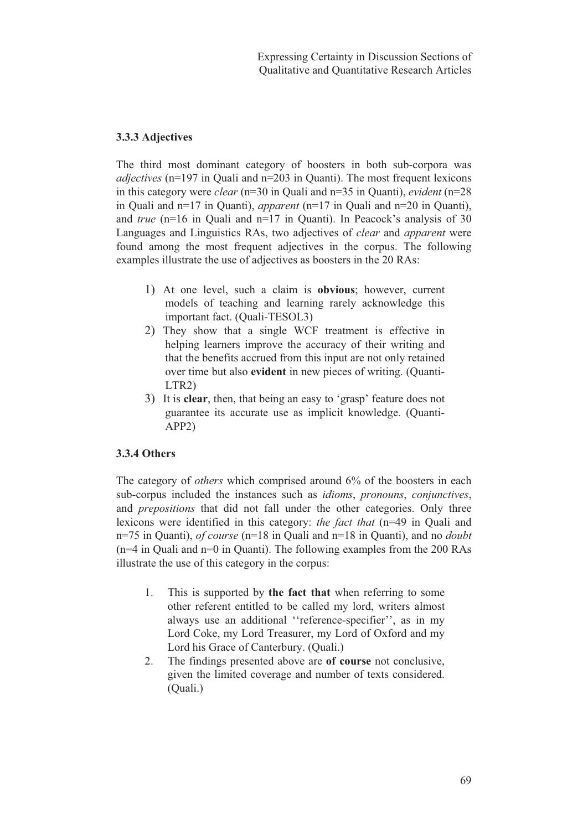# **3.3.3 Adjectives**

The third most dominant category of boosters in both sub-corpora was *adjectives* (n=197 in Quali and n=203 in Quanti). The most frequent lexicons in this category were *clear* (n=30 in Quali and n=35 in Quanti), *evident* (n=28 in Quali and n=17 in Quanti), *apparent* (n=17 in Quali and n=20 in Quanti), and *true* (n=16 in Quali and n=17 in Quanti). In Peacock's analysis of 30 Languages and Linguistics RAs, two adjectives of *clear* and *apparent* were found among the most frequent adjectives in the corpus. The following examples illustrate the use of adjectives as boosters in the 20 RAs:

- 1) At one level, such a claim is **obvious**; however, current models of teaching and learning rarely acknowledge this important fact. (Quali-TESOL3)
- 2) They show that a single WCF treatment is effective in helping learners improve the accuracy of their writing and that the benefits accrued from this input are not only retained over time but also **evident** in new pieces of writing. (Quanti-LTR2)
- 3) It is **clear**, then, that being an easy to 'grasp' feature does not guarantee its accurate use as implicit knowledge. (Quanti-APP2)

# **3.3.4 Others**

The category of *others* which comprised around 6% of the boosters in each sub-corpus included the instances such as *idioms*, *pronouns*, *conjunctives*, and *prepositions* that did not fall under the other categories. Only three lexicons were identified in this category: *the fact that* (n=49 in Quali and n=75 in Quanti), *of course* (n=18 in Quali and n=18 in Quanti), and no *doubt* (n=4 in Quali and n=0 in Quanti). The following examples from the 200 RAs illustrate the use of this category in the corpus:

- 1. This is supported by **the fact that** when referring to some other referent entitled to be called my lord, writers almost always use an additional ''reference-specifier'', as in my Lord Coke, my Lord Treasurer, my Lord of Oxford and my Lord his Grace of Canterbury. (Quali.)
- 2. The findings presented above are **of course** not conclusive, given the limited coverage and number of texts considered. (Quali.)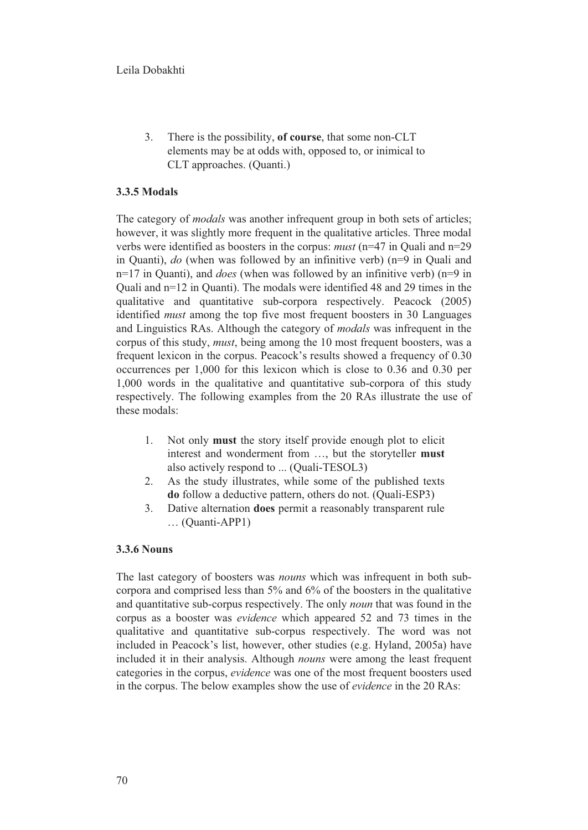3. There is the possibility, **of course**, that some non-CLT elements may be at odds with, opposed to, or inimical to CLT approaches. (Quanti.)

# **3.3.5 Modals**

The category of *modals* was another infrequent group in both sets of articles; however, it was slightly more frequent in the qualitative articles. Three modal verbs were identified as boosters in the corpus: *must* (n=47 in Quali and n=29 in Quanti), *do* (when was followed by an infinitive verb) (n=9 in Quali and n=17 in Quanti), and *does* (when was followed by an infinitive verb) (n=9 in Quali and n=12 in Quanti). The modals were identified 48 and 29 times in the qualitative and quantitative sub-corpora respectively. Peacock (2005) identified *must* among the top five most frequent boosters in 30 Languages and Linguistics RAs. Although the category of *modals* was infrequent in the corpus of this study, *must*, being among the 10 most frequent boosters, was a frequent lexicon in the corpus. Peacock's results showed a frequency of 0.30 occurrences per 1,000 for this lexicon which is close to 0.36 and 0.30 per 1,000 words in the qualitative and quantitative sub-corpora of this study respectively. The following examples from the 20 RAs illustrate the use of these modals:

- 1. Not only **must** the story itself provide enough plot to elicit interest and wonderment from …, but the storyteller **must**  also actively respond to ... (Quali-TESOL3)
- 2. As the study illustrates, while some of the published texts **do** follow a deductive pattern, others do not. (Quali-ESP3)
- 3. Dative alternation **does** permit a reasonably transparent rule … (Quanti-APP1)

### **3.3.6 Nouns**

The last category of boosters was *nouns* which was infrequent in both subcorpora and comprised less than 5% and 6% of the boosters in the qualitative and quantitative sub-corpus respectively. The only *noun* that was found in the corpus as a booster was *evidence* which appeared 52 and 73 times in the qualitative and quantitative sub-corpus respectively. The word was not included in Peacock's list, however, other studies (e.g. Hyland, 2005a) have included it in their analysis. Although *nouns* were among the least frequent categories in the corpus, *evidence* was one of the most frequent boosters used in the corpus. The below examples show the use of *evidence* in the 20 RAs: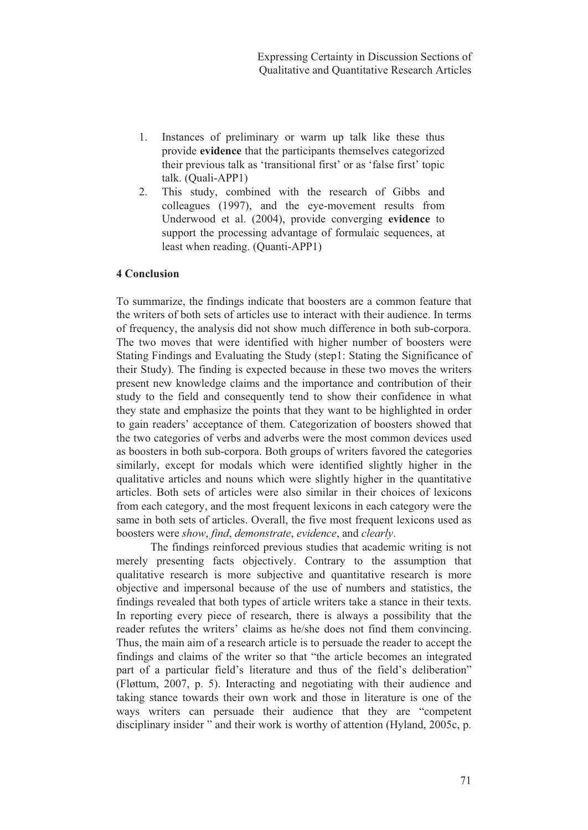- 1. Instances of preliminary or warm up talk like these thus provide **evidence** that the participants themselves categorized their previous talk as 'transitional first' or as 'false first' topic talk. (Quali-APP1)
- 2. This study, combined with the research of Gibbs and colleagues (1997), and the eye-movement results from Underwood et al. (2004), provide converging **evidence** to support the processing advantage of formulaic sequences, at least when reading. (Quanti-APP1)

## **4 Conclusion**

To summarize, the findings indicate that boosters are a common feature that the writers of both sets of articles use to interact with their audience. In terms of frequency, the analysis did not show much difference in both sub-corpora. The two moves that were identified with higher number of boosters were Stating Findings and Evaluating the Study (step1: Stating the Significance of their Study). The finding is expected because in these two moves the writers present new knowledge claims and the importance and contribution of their study to the field and consequently tend to show their confidence in what they state and emphasize the points that they want to be highlighted in order to gain readers' acceptance of them. Categorization of boosters showed that the two categories of verbs and adverbs were the most common devices used as boosters in both sub-corpora. Both groups of writers favored the categories similarly, except for modals which were identified slightly higher in the qualitative articles and nouns which were slightly higher in the quantitative articles. Both sets of articles were also similar in their choices of lexicons from each category, and the most frequent lexicons in each category were the same in both sets of articles. Overall, the five most frequent lexicons used as boosters were *show*, *find*, *demonstrate*, *evidence*, and *clearly*.

The findings reinforced previous studies that academic writing is not merely presenting facts objectively. Contrary to the assumption that qualitative research is more subjective and quantitative research is more objective and impersonal because of the use of numbers and statistics, the findings revealed that both types of article writers take a stance in their texts. In reporting every piece of research, there is always a possibility that the reader refutes the writers' claims as he/she does not find them convincing. Thus, the main aim of a research article is to persuade the reader to accept the findings and claims of the writer so that "the article becomes an integrated part of a particular field's literature and thus of the field's deliberation" (Fløttum, 2007, p. 5). Interacting and negotiating with their audience and taking stance towards their own work and those in literature is one of the ways writers can persuade their audience that they are "competent disciplinary insider " and their work is worthy of attention (Hyland, 2005c, p.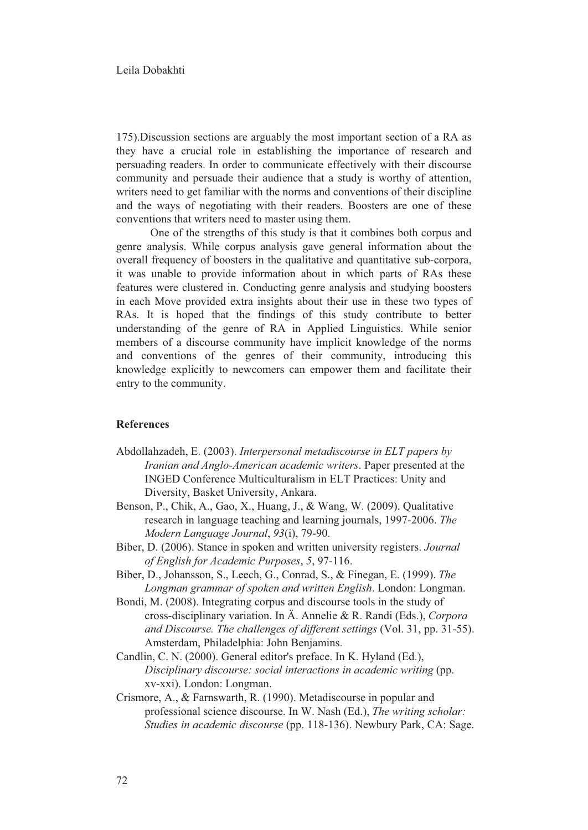175).Discussion sections are arguably the most important section of a RA as they have a crucial role in establishing the importance of research and persuading readers. In order to communicate effectively with their discourse community and persuade their audience that a study is worthy of attention, writers need to get familiar with the norms and conventions of their discipline and the ways of negotiating with their readers. Boosters are one of these conventions that writers need to master using them.

One of the strengths of this study is that it combines both corpus and genre analysis. While corpus analysis gave general information about the overall frequency of boosters in the qualitative and quantitative sub-corpora, it was unable to provide information about in which parts of RAs these features were clustered in. Conducting genre analysis and studying boosters in each Move provided extra insights about their use in these two types of RAs. It is hoped that the findings of this study contribute to better understanding of the genre of RA in Applied Linguistics. While senior members of a discourse community have implicit knowledge of the norms and conventions of the genres of their community, introducing this knowledge explicitly to newcomers can empower them and facilitate their entry to the community.

### **References**

- Abdollahzadeh, E. (2003). *Interpersonal metadiscourse in ELT papers by Iranian and Anglo-American academic writers*. Paper presented at the INGED Conference Multiculturalism in ELT Practices: Unity and Diversity, Basket University, Ankara.
- Benson, P., Chik, A., Gao, X., Huang, J., & Wang, W. (2009). Qualitative research in language teaching and learning journals, 1997-2006. *The Modern Language Journal*, *93*(i), 79-90.
- Biber, D. (2006). Stance in spoken and written university registers. *Journal of English for Academic Purposes*, *5*, 97-116.
- Biber, D., Johansson, S., Leech, G., Conrad, S., & Finegan, E. (1999). *The Longman grammar of spoken and written English*. London: Longman.
- Bondi, M. (2008). Integrating corpus and discourse tools in the study of cross-disciplinary variation. In Ä. Annelie & R. Randi (Eds.), *Corpora and Discourse. The challenges of different settings* (Vol. 31, pp. 31-55). Amsterdam, Philadelphia: John Benjamins.
- Candlin, C. N. (2000). General editor's preface. In K. Hyland (Ed.), *Disciplinary discourse: social interactions in academic writing* (pp. xv-xxi). London: Longman.
- Crismore, A., & Farnswarth, R. (1990). Metadiscourse in popular and professional science discourse. In W. Nash (Ed.), *The writing scholar: Studies in academic discourse* (pp. 118-136). Newbury Park, CA: Sage.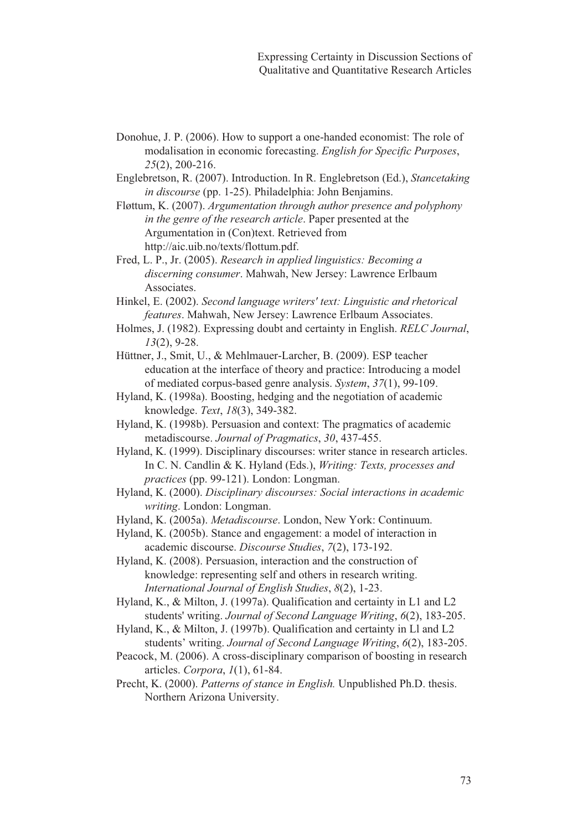- Donohue, J. P. (2006). How to support a one-handed economist: The role of modalisation in economic forecasting. *English for Specific Purposes*, *25*(2), 200-216.
- Englebretson, R. (2007). Introduction. In R. Englebretson (Ed.), *Stancetaking in discourse* (pp. 1-25). Philadelphia: John Benjamins.
- Fløttum, K. (2007). *Argumentation through author presence and polyphony in the genre of the research article*. Paper presented at the Argumentation in (Con)text. Retrieved from http://aic.uib.no/texts/flottum.pdf.
- Fred, L. P., Jr. (2005). *Research in applied linguistics: Becoming a discerning consumer*. Mahwah, New Jersey: Lawrence Erlbaum Associates.
- Hinkel, E. (2002). *Second language writers' text: Linguistic and rhetorical features*. Mahwah, New Jersey: Lawrence Erlbaum Associates.
- Holmes, J. (1982). Expressing doubt and certainty in English. *RELC Journal*, *13*(2), 9-28.
- Hüttner, J., Smit, U., & Mehlmauer-Larcher, B. (2009). ESP teacher education at the interface of theory and practice: Introducing a model of mediated corpus-based genre analysis. *System*, *37*(1), 99-109.
- Hyland, K. (1998a). Boosting, hedging and the negotiation of academic knowledge. *Text*, *18*(3), 349-382.
- Hyland, K. (1998b). Persuasion and context: The pragmatics of academic metadiscourse. *Journal of Pragmatics*, *30*, 437-455.
- Hyland, K. (1999). Disciplinary discourses: writer stance in research articles. In C. N. Candlin & K. Hyland (Eds.), *Writing: Texts, processes and practices* (pp. 99-121). London: Longman.
- Hyland, K. (2000). *Disciplinary discourses: Social interactions in academic writing*. London: Longman.
- Hyland, K. (2005a). *Metadiscourse*. London, New York: Continuum.
- Hyland, K. (2005b). Stance and engagement: a model of interaction in academic discourse. *Discourse Studies*, *7*(2), 173-192.
- Hyland, K. (2008). Persuasion, interaction and the construction of knowledge: representing self and others in research writing. *International Journal of English Studies*, *8*(2), 1-23.
- Hyland, K., & Milton, J. (1997a). Qualification and certainty in L1 and L2 students' writing. *Journal of Second Language Writing*, *6*(2), 183-205.
- Hyland, K., & Milton, J. (1997b). Qualification and certainty in Ll and L2 students' writing. *Journal of Second Language Writing*, *6*(2), 183-205.
- Peacock, M. (2006). A cross-disciplinary comparison of boosting in research articles. *Corpora*, *1*(1), 61-84.
- Precht, K. (2000). *Patterns of stance in English.* Unpublished Ph.D. thesis. Northern Arizona University.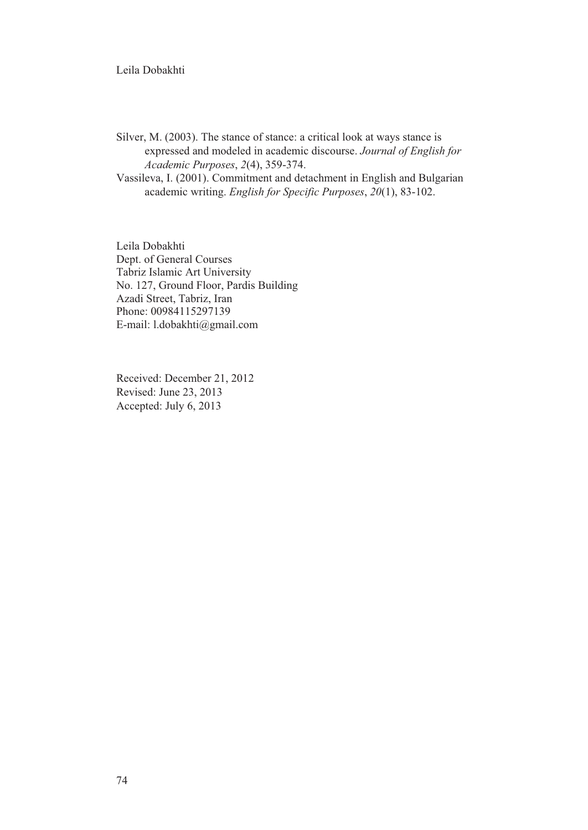## Leila Dobakhti

Silver, M. (2003). The stance of stance: a critical look at ways stance is expressed and modeled in academic discourse. *Journal of English for Academic Purposes*, *2*(4), 359-374.

Vassileva, I. (2001). Commitment and detachment in English and Bulgarian academic writing. *English for Specific Purposes*, *20*(1), 83-102.

Leila Dobakhti Dept. of General Courses Tabriz Islamic Art University No. 127, Ground Floor, Pardis Building Azadi Street, Tabriz, Iran Phone: 00984115297139 E-mail: l.dobakhti@gmail.com

Received: December 21, 2012 Revised: June 23, 2013 Accepted: July 6, 2013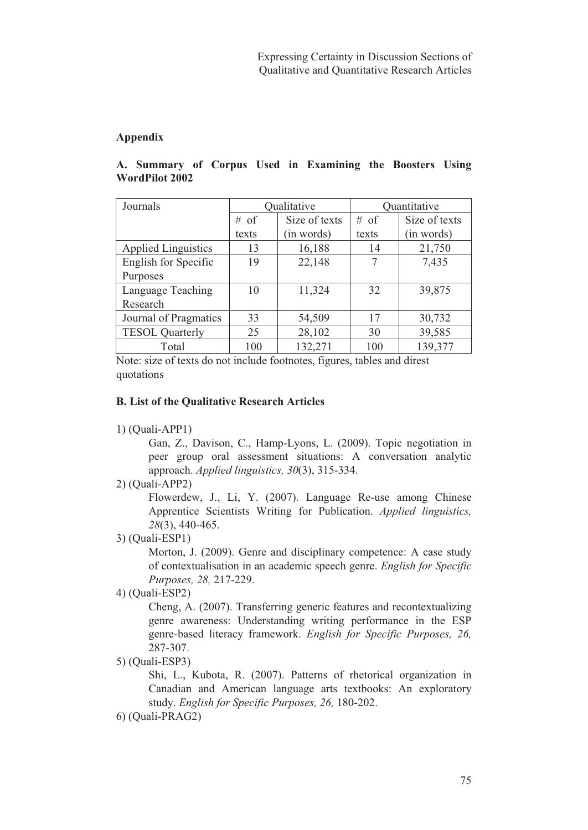# **Appendix**

| Journals                   | Qualitative     |               | Quantitative |               |
|----------------------------|-----------------|---------------|--------------|---------------|
|                            | $# \text{ of }$ | Size of texts | $#$ of       | Size of texts |
|                            | texts           | (in words)    | texts        | (in words)    |
| <b>Applied Linguistics</b> | 13              | 16,188        | 14           | 21,750        |
| English for Specific       | 19              | 22,148        | 7            | 7,435         |
| Purposes                   |                 |               |              |               |
| Language Teaching          | 10              | 11,324        | 32           | 39,875        |
| Research                   |                 |               |              |               |
| Journal of Pragmatics      | 33              | 54,509        | 17           | 30,732        |
| <b>TESOL Quarterly</b>     | 25              | 28,102        | 30           | 39,585        |
| Total                      | 100             | 132,271       | 100          | 139,377       |

# **A. Summary of Corpus Used in Examining the Boosters Using WordPilot 2002**

Note: size of texts do not include footnotes, figures, tables and direst quotations

# **B. List of the Qualitative Research Articles**

1) (Quali-APP1)

Gan, Z., Davison, C., Hamp-Lyons, L. (2009). Topic negotiation in peer group oral assessment situations: A conversation analytic approach. *Applied linguistics, 30*(3), 315-334.

2) (Quali-APP2)

Flowerdew, J., Li, Y. (2007). Language Re-use among Chinese Apprentice Scientists Writing for Publication. *Applied linguistics, 28*(3), 440-465.

3) (Quali-ESP1)

Morton, J. (2009). Genre and disciplinary competence: A case study of contextualisation in an academic speech genre. *English for Specific Purposes, 28,* 217-229.

Cheng, A. (2007). Transferring generic features and recontextualizing genre awareness: Understanding writing performance in the ESP genre-based literacy framework. *English for Specific Purposes, 26,*  287-307.

5) (Quali-ESP3)

Shi, L., Kubota, R. (2007). Patterns of rhetorical organization in Canadian and American language arts textbooks: An exploratory study. *English for Specific Purposes, 26,* 180-202.

<sup>4) (</sup>Quali-ESP2)

<sup>6) (</sup>Quali-PRAG2)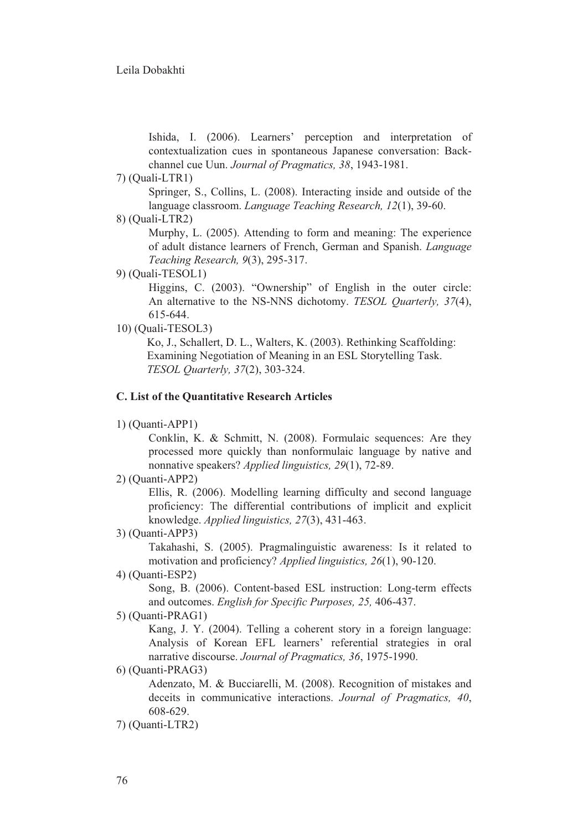Ishida, I. (2006). Learners' perception and interpretation of contextualization cues in spontaneous Japanese conversation: Backchannel cue Uun. *Journal of Pragmatics, 38*, 1943-1981.

7) (Quali-LTR1)

Springer, S., Collins, L. (2008). Interacting inside and outside of the language classroom. *Language Teaching Research, 12*(1), 39-60.

8) (Quali-LTR2)

Murphy, L. (2005). Attending to form and meaning: The experience of adult distance learners of French, German and Spanish. *Language Teaching Research, 9*(3), 295-317.

9) (Quali-TESOL1)

Higgins, C. (2003). "Ownership" of English in the outer circle: An alternative to the NS-NNS dichotomy. *TESOL Quarterly, 37*(4), 615-644.

10) (Quali-TESOL3)

Ko, J., Schallert, D. L., Walters, K. (2003). Rethinking Scaffolding: Examining Negotiation of Meaning in an ESL Storytelling Task. *TESOL Quarterly, 37*(2), 303-324.

### **C. List of the Quantitative Research Articles**

```
1) (Quanti-APP1)
```
Conklin, K. & Schmitt, N. (2008). Formulaic sequences: Are they processed more quickly than nonformulaic language by native and nonnative speakers? *Applied linguistics, 29*(1), 72-89.

2) (Quanti-APP2)

Ellis, R. (2006). Modelling learning difficulty and second language proficiency: The differential contributions of implicit and explicit knowledge. *Applied linguistics, 27*(3), 431-463.

3) (Quanti-APP3)

Takahashi, S. (2005). Pragmalinguistic awareness: Is it related to motivation and proficiency? *Applied linguistics, 26*(1), 90-120.

4) (Quanti-ESP2)

Song, B. (2006). Content-based ESL instruction: Long-term effects and outcomes. *English for Specific Purposes, 25,* 406-437.

```
5) (Quanti-PRAG1)
```
Kang, J. Y. (2004). Telling a coherent story in a foreign language: Analysis of Korean EFL learners' referential strategies in oral narrative discourse. *Journal of Pragmatics, 36*, 1975-1990.

6) (Quanti-PRAG3)

Adenzato, M. & Bucciarelli, M. (2008). Recognition of mistakes and deceits in communicative interactions. *Journal of Pragmatics, 40*, 608-629.

7) (Quanti-LTR2)